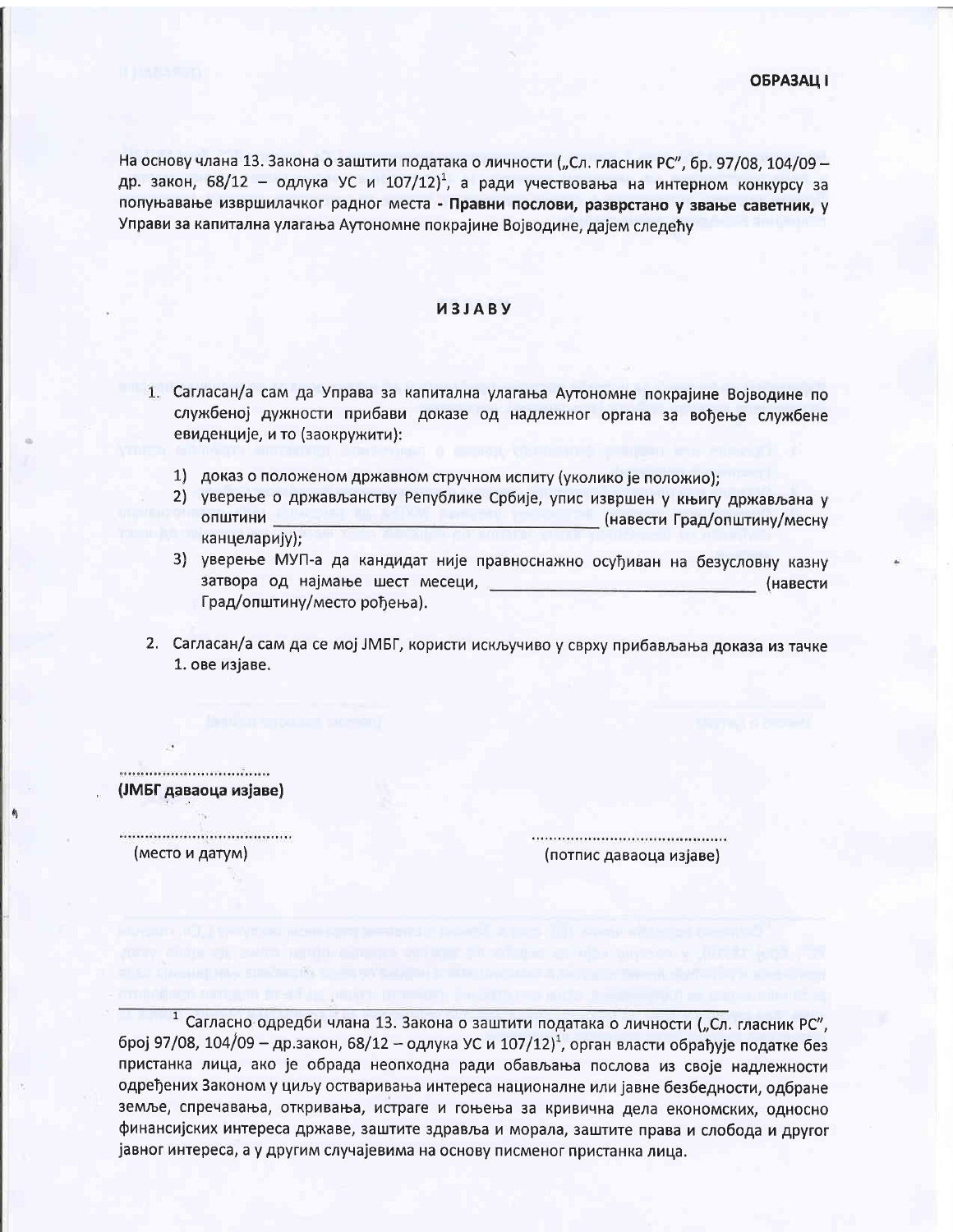На основу члана 13. Закона о заштити података о личности ("Сл. гласник РС", бр. 97/08, 104/09 др. закон, 68/12 - одлука УС и 107/12)<sup>1</sup>, а ради учествовања на интерном конкурсу за попуњавање извршилачког радног места - Правни послови, разврстано у звање саветник, у Управи за капитална улагања Аутономне покрајине Војводине, дајем следећу

## *M3JABY*

- 1. Сагласан/а сам да Управа за капитална улагања Аутономне покрајине Војводине по службеној дужности прибави доказе од надлежног органа за вођење службене евиденције, и то (заокружити):
	- 1) доказ о положеном државном стручном испиту (уколико је положио);
	- 2) уверење о држављанству Републике Србије, упис извршен у књигу држављана у ОПШТИНИ (навести Град/општину/месну канцеларију);
	- 3) уверење МУП-а да кандидат није правноснажно осуђиван на безусловну казну затвора од најмање шест месеци, (навести Град/општину/место рођења).
- 2. Сагласан/а сам да се мој ЈМБГ, користи искључиво у сврху прибављања доказа из тачке 1. ове изјаве.

\*\*\*\*\*\*\*\*\*\*\*\*\*\*\*\*\*\*\*\*\*\*\*\*\*\*\*\*\*\*\*\*\*\*\*\* (ЈМБГ даваоца изјаве)

(место и датум)

(потпис даваоца изјаве)

1 Сагласно одредби члана 13. Закона о заштити података о личности ("Сл. гласник РС", број 97/08, 104/09 - др.закон, 68/12 - одлука УС и 107/12)<sup>1</sup>, орган власти обрађује податке без пристанка лица, ако је обрада неопходна ради обављања послова из своје надлежности одређених Законом у циљу остваривања интереса националне или јавне безбедности, одбране земље, спречавања, откривања, истраге и гоњења за кривична дела економских, односно финансијских интереса државе, заштите здравља и морала, заштите права и слобода и другог јавног интереса, а у другим случајевима на основу писменог пристанка лица.